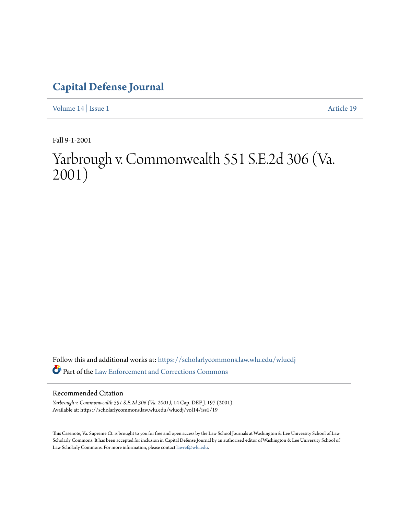## **[Capital Defense Journal](https://scholarlycommons.law.wlu.edu/wlucdj?utm_source=scholarlycommons.law.wlu.edu%2Fwlucdj%2Fvol14%2Fiss1%2F19&utm_medium=PDF&utm_campaign=PDFCoverPages)**

[Volume 14](https://scholarlycommons.law.wlu.edu/wlucdj/vol14?utm_source=scholarlycommons.law.wlu.edu%2Fwlucdj%2Fvol14%2Fiss1%2F19&utm_medium=PDF&utm_campaign=PDFCoverPages) | [Issue 1](https://scholarlycommons.law.wlu.edu/wlucdj/vol14/iss1?utm_source=scholarlycommons.law.wlu.edu%2Fwlucdj%2Fvol14%2Fiss1%2F19&utm_medium=PDF&utm_campaign=PDFCoverPages) [Article 19](https://scholarlycommons.law.wlu.edu/wlucdj/vol14/iss1/19?utm_source=scholarlycommons.law.wlu.edu%2Fwlucdj%2Fvol14%2Fiss1%2F19&utm_medium=PDF&utm_campaign=PDFCoverPages)

Fall 9-1-2001

# Yarbrough v. Commonwealth 551 S.E.2d 306 (Va. 2001)

Follow this and additional works at: [https://scholarlycommons.law.wlu.edu/wlucdj](https://scholarlycommons.law.wlu.edu/wlucdj?utm_source=scholarlycommons.law.wlu.edu%2Fwlucdj%2Fvol14%2Fiss1%2F19&utm_medium=PDF&utm_campaign=PDFCoverPages) Part of the [Law Enforcement and Corrections Commons](http://network.bepress.com/hgg/discipline/854?utm_source=scholarlycommons.law.wlu.edu%2Fwlucdj%2Fvol14%2Fiss1%2F19&utm_medium=PDF&utm_campaign=PDFCoverPages)

#### Recommended Citation

*Yarbrough v. Commonwealth 551 S.E.2d 306 (Va. 2001)*, 14 Cap. DEF J. 197 (2001). Available at: https://scholarlycommons.law.wlu.edu/wlucdj/vol14/iss1/19

This Casenote, Va. Supreme Ct. is brought to you for free and open access by the Law School Journals at Washington & Lee University School of Law Scholarly Commons. It has been accepted for inclusion in Capital Defense Journal by an authorized editor of Washington & Lee University School of Law Scholarly Commons. For more information, please contact [lawref@wlu.edu.](mailto:lawref@wlu.edu)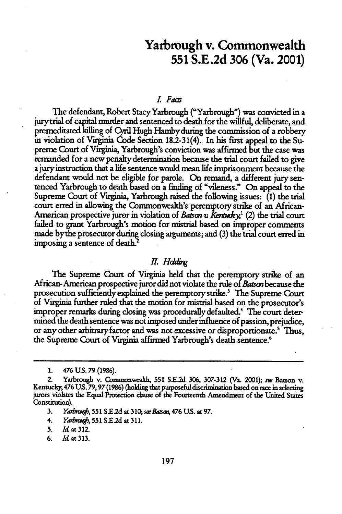### Yarbrough v. Commonwealth **551 S.E.2d 306** (Va. 2001)

#### *L Faas*

The defendant, Robert Stacy Yarbrough ("Yarbrough") was convicted in a jurytrial of capital murder and sentenced to death for the willful, deliberate, and premeditated killing of Cyril Hugh Hambyduring the commission of a robbery in violation of Virginia Code Section 182-31(4). In his first appeal to the Supreme Court of Virginia, Yarbrough's conviction was affirmed but the case was remanded for a new penalty determination because the trial court failed to give a jury instruction that a life sentence would mean life imprisonment because the defendant would not be eligible for parole. On remand, a different jury sentenced Yarbrough to death based on a finding of "vileness." On appeal to the Supreme Court of Virginia, Yarbrough raised the following issues: **(1)** the trial court erred in allowing the Commonwealth's peremptory strike of an African-American prospective juror in violation of *Batson v Kentucky*<sup>1</sup> (2) the trial court failed to grant Yarbrough's motion for mistrial based on improper comments made bythe prosecutor during closing arguments; and (3) the trial court erred in imposing a sentence of death.<sup>2</sup>

#### *II.* Holding

The Supreme Court of Virginia held that the peremptory strike of an African-American prospective juror did not violate the rule of *Baurn* because the prosecution sufficiently explained the peremptory strike? The Supreme Court of Virginia further ruled that the motion for mistrial based on the prosecutor's improper remarks during dosing was procedurally defaulted.4 The court determined the death sentence was not imposed under influence of passion, prejudice, or any other arbitrary factor and was not excessive or disproportionate.' Thus, the Supreme Court of Virginia affirmed Yarbrough's death sentence.<sup>6</sup>

6. *Id at 313.*

**<sup>1.</sup>** 476 **US. 79** (1986).

<sup>2.</sup> Yarbrough v. Commonvea **551 S.E.2d 306,** 307-312 (Va. 2001); **se** Batson v. Kentucky, 476 **US. 79,97 (1986)** (holding that purposeful discrimination based on race in selecting jurors violates the Equal Protection clause of the Fourteenth Amendment of the United States Constitution).

**<sup>3.</sup>** *Y dpme,* **551 S.E.2d** at **310;** *seeBaasor* 476 **US.** at **97.**

<sup>4.</sup> *Yabq',* **<sup>551</sup>S.E2d** at **311.**

**<sup>5.</sup>** *Id at 312.*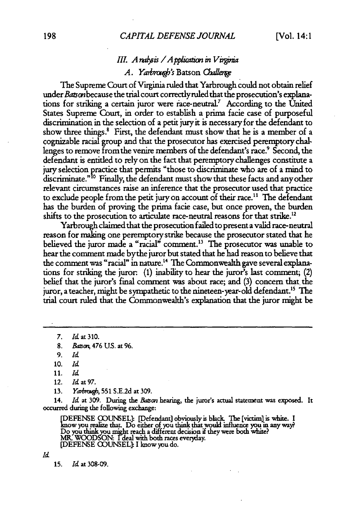#### *III. A nalysis / A pplication in V irginia A. Yarbrough's* Batson Challenge

The Supreme Court of Virginia ruled that Yarbrough could not obtain relief under Batson because the trial court correctly ruled that the prosecution's explanations for striking a certain juror were race-neutral.<sup>7</sup> According to the United States Supreme Court, in order to establish a prima facie case of purposeful discrimination in the selection of a petit jury it is necessary for the defendant to show three things.<sup>8</sup> First, the defendant must show that he is a member of a cognizable racial group and that the prosecutor has exercised peremptory challenges to remove fromthe venire members of the defendant's race.' Second, the defendant is entitled to rely on the fact that peremptory challenges constitute a jury selection practice that permits "those to discriminate who are of a mind to discriminate."<sup>10</sup> Finally, the defendant must show that these facts and any other relevant circumstances raise an inference that the prosecutor used that practice to exclude people from the petit jury on account of their race.<sup>11</sup> The defendant has the burden of proving the prima facie case, but once proven, the burden shifts to the prosecution to articulate race-neutral reasons for that strike.<sup>12</sup>

Yarbrough claimed that the prosecution failed to present a valid race-neutral reason for making one peremptory strike because the prosecutor stated that he believed the juror made a "racial" comment.<sup>13</sup> The prosecutor was unable to hear the comment made bythe juror but stated that he had reason to believe that the comment was "racial" in nature.'4 The Commonwealth gave several explanations for striking the juror. (1) inability to hear the juror's last comment; (2) belief that the juror's final comment was about race; and (3) concern that the juror, a teacher, might be sympathetic to the nineteen-year-old defendant.<sup>15</sup> The trial court ruled that the Commonwealth's explanation that the juror might be

**7.** Id at **310.**

9. *id*

**10.** *Id*

11. *Id*

12. *Id* at *97.*

13. *Yarbrosop*, 551 S.E.2d at 309.

14. *d* at 309. During the *Baon* hearing, the juror's actual statement was exposed. It occurred during the following exchange:

EFENSE GO)UNSEL]: [Defendant] obviously is black The [victiml is white. **I** you realize that. Do either of you think that would influence you in any way. Do you think you might reach a different decision if they were both white?<br>MR. WOODSON: I deal with both races everyday.<br>[DEFENSE COUNSEL]: I know you do.

*Id*

**15.** *Id* at **308-09.**

**<sup>8.</sup>** *Batop,* 476 US. at 96.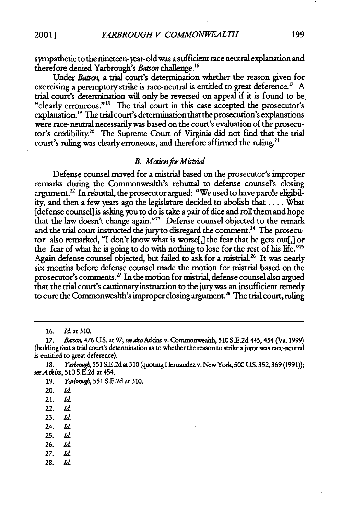sympathetic to the nineteen-year-old was a sufficient race neutral explanation and therefore denied Yarbrough's *Batson* challenge.<sup>16</sup>

Under *Batson*, a trial court's determination whether the reason given for exercising a peremptory strike is race-neutral is entitled to great deference.17 **A** trial court's determination will only be reversed on appeal if it is found to be "clearly erroneous." 8 The trial court in this case accepted the prosecutor's explanation.<sup>19</sup> The trial court's determination that the prosecution's explanations were race-neutral necessarilywas based on the court's evaluation of the prosecutor's credibility.<sup>20</sup> The Supreme Court of Virginia did not find that the trial court's ruling was clearly erroneous, and therefore affirmed the ruling.<sup>21</sup>

#### *B.* Motion for Mistrial

Defense counsel moved for a mistrial based on the prosecutor's improper remarks during the Commonwealth's rebuttal to defense counsel's closing argument.<sup>22</sup> In rebuttal, the prosecutor argued: "We used to have parole eligibility, and then a few years ago the legislature decided to abolish that ... .What [defense counsel] is asking you to do is take a pair of dice and roll them and hope that the law doesn't change again."23 Defense counsel objected to the remark and the trial court instructed the jury to disregard the comment.<sup>24</sup> The prosecutor also remarked, "I don't know what is worse[,] the fear that he gets out[,] or the fear of what he is going to do with nothing to lose for the rest of his life."<sup>25</sup> Again defense counsel objected, but failed to ask for a mistrial.<sup>26</sup> It was nearly six months before defense counsel made the motion for mistrial based on the prosecutor's comments.27 In the motion for mistrial, defense counsel also argued that the trial court's cautionary instruction to the jurywas an insufficient remedy to cure the Commonwealth's improper closing argument.<sup>28</sup> The trial court, ruling

- 21. *Id*
- 22. *Id*
- **23.** *Id*
- 24. *Id*
- **25.** *Id*
- **26.** *Id*
- **27.** *Id*
- 28. *Id*

<sup>16.</sup> **Id** at **310.**

*<sup>17.</sup>* Bai o 476 **U.S.** at **97; seaho Atkins** v. Commonweath, **510 S.E.2d** 445,454 (Va. **1999)** (holding that a trial court's determination as to whether the reason to strike a **juror** was race-neutral is entitled to great deference).

<sup>18.</sup> *Yarbrough*, 551 S.E.2d at 310 (quoting Hernandez v. New York, 500 U.S. 352, 369 (1991)); *seAkis,* 510 S.E2d at 454.

<sup>19.</sup> *Yarbrough*, 551 S.E.2d at 310.

<sup>20.</sup> *Id*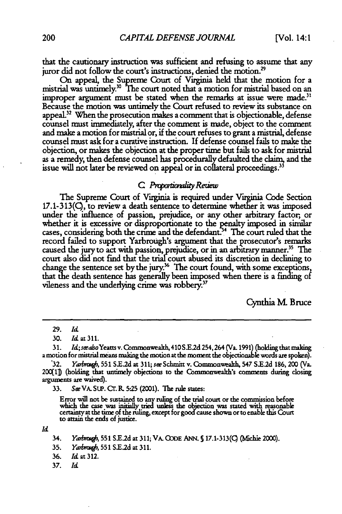that the cautionary instruction was sufficient and refusing to assume that any juror did not follow the court's instructions, denied the motion.<sup>29</sup>

On appeal, the Supreme Court of Virginia held that the motion for a mistrial was untimely. **The** court noted that a motion for mistrial based on an improper argument must be stated when the remarks at issue were made.<sup>31</sup> Because the motion was untimely the Court refused to review its substance on appeal.<sup>32</sup> When the prosecution makes a comment that is objectionable, defense counsel must immediately, after the comment is made, object to the comment and make a motion for mistrial or, if the court refuses to grant a mistrial, defense counsel must ask for a curative instruction. If defense counsel fails to make the objection, or makes the objection at the proper time but fails to ask for mistrial as a remedy, then defense counsel has procedurally defaulted the claim, and the issue will not later be reviewed on appeal or in collateral proceedings.<sup>35</sup>

#### *C. Proportionality Retiew*

The Supreme Court of Virginia is required under Virginia Code Section  $17.1-313$ (C), to review a death sentence to determine whether it was imposed under the influence of passion, prejudice, or any other arbitrary factor, or whether it is excessive or disproportionate to the penalty imposed in similar cases, considering both the crime and the defendant.<sup>34</sup> The court ruled that the record failed to support Yarbrough's argument that the prosecutor's remarks caused the jury to act with passion, prejudice, or in an arbitrary manner.<sup>35</sup> The court also did not find that the trial-court abused its discretion in declining to change the sentence set by the jury.<sup>36</sup> The court found, with some exceptions, that the death sentence has generally been imposed when there is a finding of vileness and the underlying crime was robbery.<sup>37</sup>

Cynthia **M.** Bruce

**31.** *ld;seeasoYeattsv. Commonwealth* 410S.E 2d254,264(Va.1991) (holdingthatmalting a motion for mistrial means making the motion at the moment the objectionable words are spoken).<br>32. *Yarbrough*, 551 S.E.2d at 311; *see* Schmitt v. Commonwealth, 547 S.E.2d 186, 200 (Va.

200[1]) (holding that untimely objections to the Commonwealth's comments during closing arguments are waived).

33. *SeVA.* SuP. Cr. **P, 5.25** (2001). The rule states:

Error will not be sustained to any ruling of the trial court or the commission before which the case was initially tried unless the objection was stated with reasonable certaintyat the **time** of the ruling, except for good cause shown or to enable this Court to attain the ends of justice.

*Id*

34. *Yadtz\*,* 551 S.E2d at 311; VA. **QODE** ANN. **S** 17.1-313() (fMchie 2000).

35. *Yarbrough*, 551 S.E.2d at 311.

36. *Id* at 312.

37. *Id*

<sup>29.</sup> *Id*

<sup>30.</sup> Id at **311.**